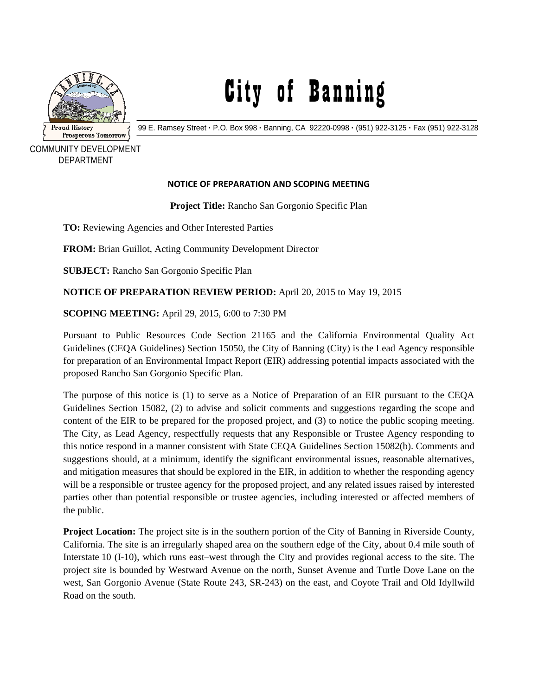

## City of Banning

99 E. Ramsey Street **·** P.O. Box 998 **·** Banning, CA 92220-0998 **·** (951) 922-3125 **·** Fax (951) 922-3128

 COMMUNITY DEVELOPMENT DEPARTMENT

## **NOTICE OF PREPARATION AND SCOPING MEETING**

**Project Title:** Rancho San Gorgonio Specific Plan

TO: Reviewing Agencies and Other Interested Parties

**FROM:** Brian Guillot, Acting Community Development Director

**SUBJECT:** Rancho San Gorgonio Specific Plan

**NOTICE OF PREPARATION REVIEW PERIOD:** April 20, 2015 to May 19, 2015

**SCOPING MEETING:** April 29, 2015, 6:00 to 7:30 PM

Pursuant to Public Resources Code Section 21165 and the California Environmental Quality Act Guidelines (CEQA Guidelines) Section 15050, the City of Banning (City) is the Lead Agency responsible for preparation of an Environmental Impact Report (EIR) addressing potential impacts associated with the proposed Rancho San Gorgonio Specific Plan.

The purpose of this notice is (1) to serve as a Notice of Preparation of an EIR pursuant to the CEQA Guidelines Section 15082, (2) to advise and solicit comments and suggestions regarding the scope and content of the EIR to be prepared for the proposed project, and (3) to notice the public scoping meeting. The City, as Lead Agency, respectfully requests that any Responsible or Trustee Agency responding to this notice respond in a manner consistent with State CEQA Guidelines Section 15082(b). Comments and suggestions should, at a minimum, identify the significant environmental issues, reasonable alternatives, and mitigation measures that should be explored in the EIR, in addition to whether the responding agency will be a responsible or trustee agency for the proposed project, and any related issues raised by interested parties other than potential responsible or trustee agencies, including interested or affected members of the public.

**Project Location:** The project site is in the southern portion of the City of Banning in Riverside County, California. The site is an irregularly shaped area on the southern edge of the City, about 0.4 mile south of Interstate 10 (I-10), which runs east–west through the City and provides regional access to the site. The project site is bounded by Westward Avenue on the north, Sunset Avenue and Turtle Dove Lane on the west, San Gorgonio Avenue (State Route 243, SR-243) on the east, and Coyote Trail and Old Idyllwild Road on the south.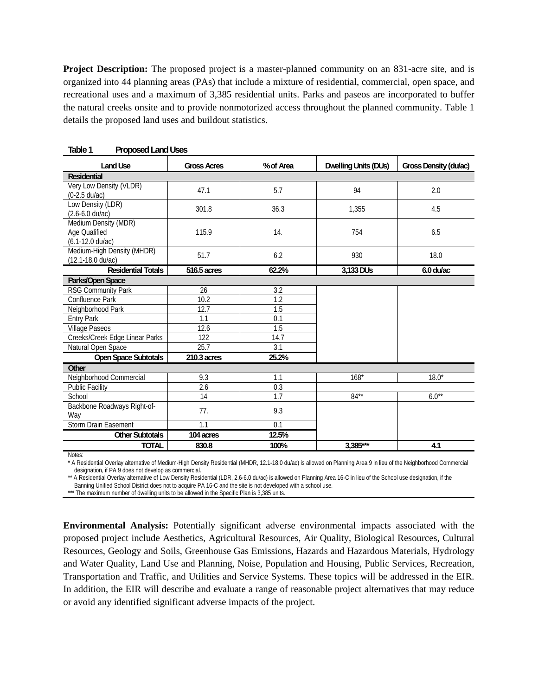**Project Description:** The proposed project is a master-planned community on an 831-acre site, and is organized into 44 planning areas (PAs) that include a mixture of residential, commercial, open space, and recreational uses and a maximum of 3,385 residential units. Parks and paseos are incorporated to buffer the natural creeks onsite and to provide nonmotorized access throughout the planned community. Table 1 details the proposed land uses and buildout statistics.

| <b>Land Use</b>                                           | <b>Gross Acres</b> | % of Area        | <b>Dwelling Units (DUs)</b> | Gross Density (du/ac) |  |
|-----------------------------------------------------------|--------------------|------------------|-----------------------------|-----------------------|--|
| <b>Residential</b>                                        |                    |                  |                             |                       |  |
| Very Low Density (VLDR)<br>$(0-2.5 \text{ du}/\text{ac})$ | 47.1               | 5.7              | 94                          | 2.0                   |  |
| Low Density (LDR)<br>$(2.6 - 6.0 \text{ du/ac})$          | 301.8              | 36.3             | 1,355                       | 4.5                   |  |
| Medium Density (MDR)<br>Age Qualified<br>(6.1-12.0 du/ac) | 115.9              | 14.              | 754                         | 6.5                   |  |
| Medium-High Density (MHDR)<br>(12.1-18.0 du/ac)           | 51.7               | 6.2              | 930                         | 18.0                  |  |
| <b>Residential Totals</b>                                 | 516.5 acres        | 62.2%            | 3,133 DUs                   | $6.0$ du/ac           |  |
| Parks/Open Space                                          |                    |                  |                             |                       |  |
| <b>RSG Community Park</b>                                 | 26                 | 3.2              |                             |                       |  |
| Confluence Park                                           | 10.2               | 1.2              |                             |                       |  |
| Neighborhood Park                                         | 12.7               | 1.5              |                             |                       |  |
| <b>Entry Park</b>                                         | 1.1                | 0.1              |                             |                       |  |
| <b>Village Paseos</b>                                     | 12.6               | $\overline{1.5}$ |                             |                       |  |
| Creeks/Creek Edge Linear Parks                            | 122                | 14.7             |                             |                       |  |
| Natural Open Space                                        | 25.7               | 3.1              |                             |                       |  |
| Open Space Subtotals                                      | 210.3 acres        | 25.2%            |                             |                       |  |
| Other                                                     |                    |                  |                             |                       |  |
| Neighborhood Commercial                                   | 9.3                | 1.1              | $168*$                      | $18.0*$               |  |
| <b>Public Facility</b>                                    | $\overline{2.6}$   | 0.3              |                             |                       |  |
| School                                                    | 14                 | 1.7              | $84**$                      | $6.0**$               |  |
| Backbone Roadways Right-of-<br>Wav                        | 77.                | 9.3              |                             |                       |  |
| <b>Storm Drain Easement</b>                               | 1.1                | 0.1              |                             |                       |  |
| <b>Other Subtotals</b>                                    | 104 acres          | 12.5%            |                             |                       |  |
| <b>TOTAL</b>                                              | 830.8              | 100%             | $3,385***$                  | 4.1                   |  |

**Table 1 Proposed Land Uses** 

Notes:

\* A Residential Overlay alternative of Medium-High Density Residential (MHDR, 12.1-18.0 du/ac) is allowed on Planning Area 9 in lieu of the Neighborhood Commercial designation, if PA 9 does not develop as commercial.

\*\* A Residential Overlay alternative of Low Density Residential (LDR, 2.6-6.0 du/ac) is allowed on Planning Area 16-C in lieu of the School use designation, if the

Banning Unified School District does not to acquire PA 16-C and the site is not developed with a school use.

\*\*\* The maximum number of dwelling units to be allowed in the Specific Plan is 3,385 units.

**Environmental Analysis:** Potentially significant adverse environmental impacts associated with the proposed project include Aesthetics, Agricultural Resources, Air Quality, Biological Resources, Cultural Resources, Geology and Soils, Greenhouse Gas Emissions, Hazards and Hazardous Materials, Hydrology and Water Quality, Land Use and Planning, Noise, Population and Housing, Public Services, Recreation, Transportation and Traffic, and Utilities and Service Systems. These topics will be addressed in the EIR. In addition, the EIR will describe and evaluate a range of reasonable project alternatives that may reduce or avoid any identified significant adverse impacts of the project.